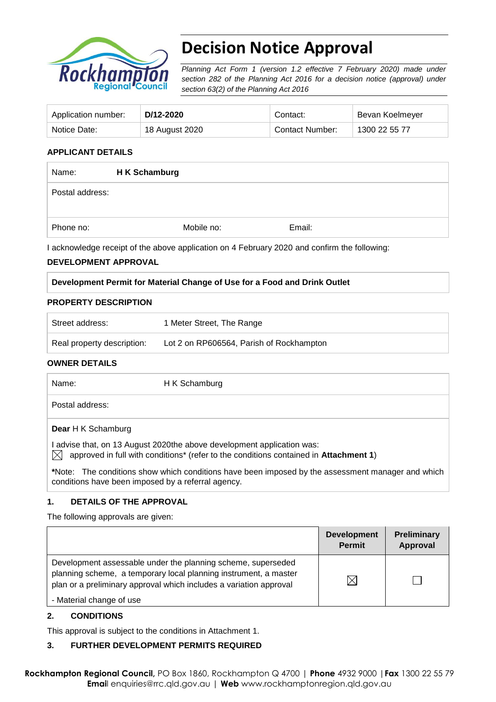

# **Decision Notice Approval**

*Planning Act Form 1 (version 1.2 effective 7 February 2020) made under section 282 of the Planning Act 2016 for a decision notice (approval) under section 63(2) of the Planning Act 2016*

| Application number: | D/12-2020      | Contact:        | Bevan Koelmeyer |
|---------------------|----------------|-----------------|-----------------|
| Notice Date:        | 18 August 2020 | Contact Number: | 1300 22 55 77   |

#### **APPLICANT DETAILS**

| Name:           | H K Schamburg |            |        |
|-----------------|---------------|------------|--------|
| Postal address: |               |            |        |
| Phone no:       |               | Mobile no: | Email: |

I acknowledge receipt of the above application on 4 February 2020 and confirm the following:

#### **DEVELOPMENT APPROVAL**

#### **Development Permit for Material Change of Use for a Food and Drink Outlet**

#### **PROPERTY DESCRIPTION**

| Street address:            | 1 Meter Street, The Range                |
|----------------------------|------------------------------------------|
| Real property description: | Lot 2 on RP606564, Parish of Rockhampton |

#### **OWNER DETAILS**

| Name:                                              | H K Schamburg                                                                                                                                                             |
|----------------------------------------------------|---------------------------------------------------------------------------------------------------------------------------------------------------------------------------|
| Postal address:                                    |                                                                                                                                                                           |
| <b>Dear H K Schamburg</b>                          |                                                                                                                                                                           |
|                                                    | advise that, on 13 August 2020the above development application was:<br>approved in full with conditions <sup>*</sup> (refer to the conditions contained in Attachment 1) |
| conditions have been imposed by a referral agency. | *Note: The conditions show which conditions have been imposed by the assessment manager and which                                                                         |

#### **1. DETAILS OF THE APPROVAL**

The following approvals are given:

|                                                                                                                                                                                                        | <b>Development</b><br><b>Permit</b> | Preliminary<br>Approval |
|--------------------------------------------------------------------------------------------------------------------------------------------------------------------------------------------------------|-------------------------------------|-------------------------|
| Development assessable under the planning scheme, superseded<br>planning scheme, a temporary local planning instrument, a master<br>plan or a preliminary approval which includes a variation approval |                                     |                         |
| - Material change of use                                                                                                                                                                               |                                     |                         |

#### **2. CONDITIONS**

This approval is subject to the conditions in Attachment 1.

#### **3. FURTHER DEVELOPMENT PERMITS REQUIRED**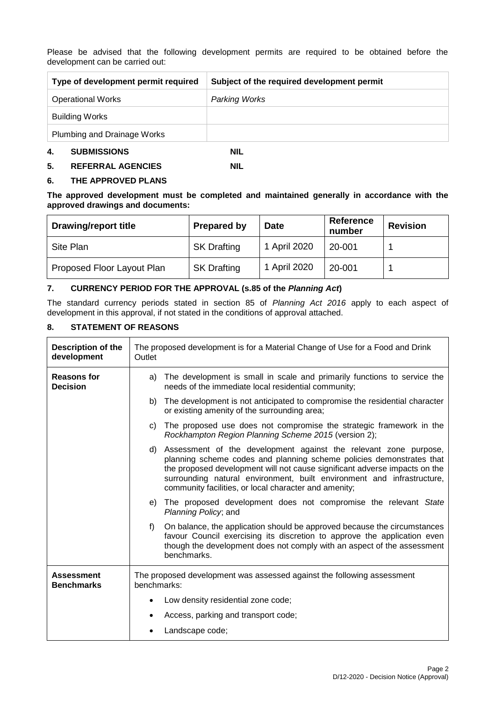Please be advised that the following development permits are required to be obtained before the development can be carried out:

| Type of development permit required | Subject of the required development permit |
|-------------------------------------|--------------------------------------------|
| <b>Operational Works</b>            | Parking Works                              |
| <b>Building Works</b>               |                                            |
| Plumbing and Drainage Works         |                                            |
| 4.<br><b>SUBMISSIONS</b>            | NIL                                        |

**5. REFERRAL AGENCIES NIL** 

#### **6. THE APPROVED PLANS**

**The approved development must be completed and maintained generally in accordance with the approved drawings and documents:**

| <b>Drawing/report title</b> | <b>Prepared by</b> | <b>Date</b>  | <b>Reference</b><br>number | <b>Revision</b> |
|-----------------------------|--------------------|--------------|----------------------------|-----------------|
| Site Plan                   | <b>SK Drafting</b> | 1 April 2020 | 20-001                     |                 |
| Proposed Floor Layout Plan  | <b>SK Drafting</b> | 1 April 2020 | 20-001                     |                 |

#### **7. CURRENCY PERIOD FOR THE APPROVAL (s.85 of the** *Planning Act***)**

The standard currency periods stated in section 85 of *Planning Act 2016* apply to each aspect of development in this approval, if not stated in the conditions of approval attached.

#### **8. STATEMENT OF REASONS**

| Description of the<br>development      | The proposed development is for a Material Change of Use for a Food and Drink<br>Outlet                                                                                                                                                                                                                                                                      |  |  |
|----------------------------------------|--------------------------------------------------------------------------------------------------------------------------------------------------------------------------------------------------------------------------------------------------------------------------------------------------------------------------------------------------------------|--|--|
| <b>Reasons for</b><br><b>Decision</b>  | a) The development is small in scale and primarily functions to service the<br>needs of the immediate local residential community;                                                                                                                                                                                                                           |  |  |
|                                        | b) The development is not anticipated to compromise the residential character<br>or existing amenity of the surrounding area;                                                                                                                                                                                                                                |  |  |
|                                        | c) The proposed use does not compromise the strategic framework in the<br>Rockhampton Region Planning Scheme 2015 (version 2);                                                                                                                                                                                                                               |  |  |
|                                        | d) Assessment of the development against the relevant zone purpose,<br>planning scheme codes and planning scheme policies demonstrates that<br>the proposed development will not cause significant adverse impacts on the<br>surrounding natural environment, built environment and infrastructure,<br>community facilities, or local character and amenity; |  |  |
|                                        | e) The proposed development does not compromise the relevant State<br>Planning Policy; and                                                                                                                                                                                                                                                                   |  |  |
|                                        | $f$ )<br>On balance, the application should be approved because the circumstances<br>favour Council exercising its discretion to approve the application even<br>though the development does not comply with an aspect of the assessment<br>benchmarks.                                                                                                      |  |  |
| <b>Assessment</b><br><b>Benchmarks</b> | The proposed development was assessed against the following assessment<br>benchmarks:                                                                                                                                                                                                                                                                        |  |  |
|                                        | Low density residential zone code;<br>٠                                                                                                                                                                                                                                                                                                                      |  |  |
|                                        | Access, parking and transport code;<br>$\bullet$                                                                                                                                                                                                                                                                                                             |  |  |
|                                        | Landscape code;<br>٠                                                                                                                                                                                                                                                                                                                                         |  |  |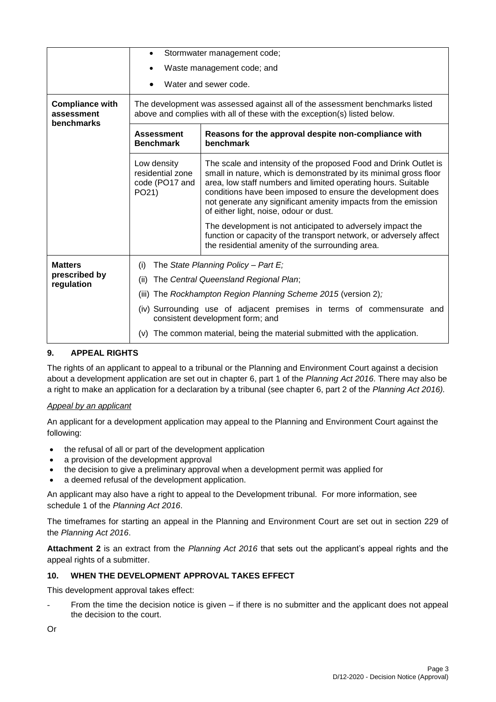|                                                    | Stormwater management code;<br>$\bullet$                                                                                                                 |                                                                                                                                                                                                                                                                                                                                                                                   |  |  |  |
|----------------------------------------------------|----------------------------------------------------------------------------------------------------------------------------------------------------------|-----------------------------------------------------------------------------------------------------------------------------------------------------------------------------------------------------------------------------------------------------------------------------------------------------------------------------------------------------------------------------------|--|--|--|
|                                                    | Waste management code; and                                                                                                                               |                                                                                                                                                                                                                                                                                                                                                                                   |  |  |  |
|                                                    | Water and sewer code.                                                                                                                                    |                                                                                                                                                                                                                                                                                                                                                                                   |  |  |  |
| <b>Compliance with</b><br>assessment<br>benchmarks | The development was assessed against all of the assessment benchmarks listed<br>above and complies with all of these with the exception(s) listed below. |                                                                                                                                                                                                                                                                                                                                                                                   |  |  |  |
|                                                    | Reasons for the approval despite non-compliance with<br><b>Assessment</b><br><b>Benchmark</b><br>benchmark                                               |                                                                                                                                                                                                                                                                                                                                                                                   |  |  |  |
|                                                    | Low density<br>residential zone<br>code (PO17 and<br>PO21)                                                                                               | The scale and intensity of the proposed Food and Drink Outlet is<br>small in nature, which is demonstrated by its minimal gross floor<br>area, low staff numbers and limited operating hours. Suitable<br>conditions have been imposed to ensure the development does<br>not generate any significant amenity impacts from the emission<br>of either light, noise, odour or dust. |  |  |  |
|                                                    |                                                                                                                                                          | The development is not anticipated to adversely impact the<br>function or capacity of the transport network, or adversely affect<br>the residential amenity of the surrounding area.                                                                                                                                                                                              |  |  |  |
| <b>Matters</b><br>prescribed by<br>regulation      | The State Planning Policy - Part $E_i$<br>(i)<br>The Central Queensland Regional Plan;<br>(ii)                                                           |                                                                                                                                                                                                                                                                                                                                                                                   |  |  |  |
|                                                    | (iii) The Rockhampton Region Planning Scheme 2015 (version 2);                                                                                           |                                                                                                                                                                                                                                                                                                                                                                                   |  |  |  |
|                                                    | (iv) Surrounding use of adjacent premises in terms of commensurate and<br>consistent development form; and                                               |                                                                                                                                                                                                                                                                                                                                                                                   |  |  |  |
|                                                    | (v) The common material, being the material submitted with the application.                                                                              |                                                                                                                                                                                                                                                                                                                                                                                   |  |  |  |

### **9. APPEAL RIGHTS**

The rights of an applicant to appeal to a tribunal or the Planning and Environment Court against a decision about a development application are set out in chapter 6, part 1 of the *Planning Act 2016*. There may also be a right to make an application for a declaration by a tribunal (see chapter 6, part 2 of the *Planning Act 2016).*

#### *Appeal by an applicant*

An applicant for a development application may appeal to the Planning and Environment Court against the following:

- the refusal of all or part of the development application
- a provision of the development approval
- the decision to give a preliminary approval when a development permit was applied for
- a deemed refusal of the development application.

An applicant may also have a right to appeal to the Development tribunal. For more information, see schedule 1 of the *Planning Act 2016*.

The timeframes for starting an appeal in the Planning and Environment Court are set out in section 229 of the *Planning Act 2016*.

**Attachment 2** is an extract from the *Planning Act 2016* that sets out the applicant's appeal rights and the appeal rights of a submitter.

#### **10. WHEN THE DEVELOPMENT APPROVAL TAKES EFFECT**

This development approval takes effect:

From the time the decision notice is given – if there is no submitter and the applicant does not appeal the decision to the court.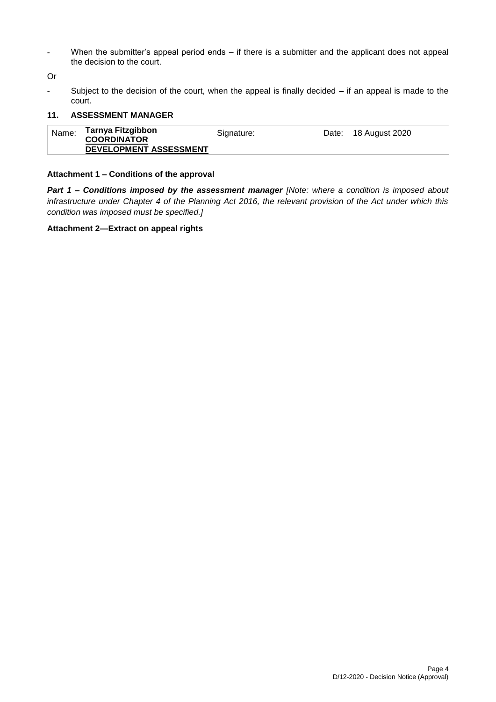- When the submitter's appeal period ends – if there is a submitter and the applicant does not appeal the decision to the court.

Or

- Subject to the decision of the court, when the appeal is finally decided – if an appeal is made to the court.

#### **11. ASSESSMENT MANAGER**

| Name: | Tarnya Fitzgibbon<br><b>COORDINATOR</b> | Signature: | Date: 18 August 2020 |
|-------|-----------------------------------------|------------|----------------------|
|       | DEVELOPMENT ASSESSMENT                  |            |                      |

#### **Attachment 1 – Conditions of the approval**

*Part 1* **–** *Conditions imposed by the assessment manager [Note: where a condition is imposed about infrastructure under Chapter 4 of the Planning Act 2016, the relevant provision of the Act under which this condition was imposed must be specified.]*

#### **Attachment 2—Extract on appeal rights**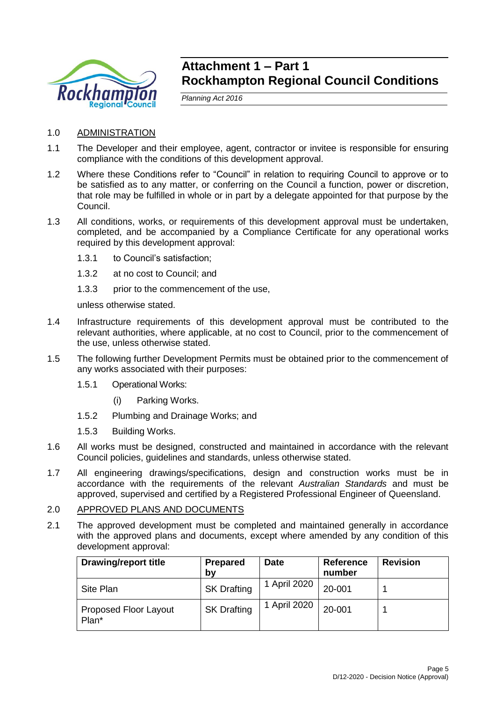

## **Attachment 1 – Part 1 Rockhampton Regional Council Conditions**

*Planning Act 2016*

- 1.0 ADMINISTRATION
- 1.1 The Developer and their employee, agent, contractor or invitee is responsible for ensuring compliance with the conditions of this development approval.
- 1.2 Where these Conditions refer to "Council" in relation to requiring Council to approve or to be satisfied as to any matter, or conferring on the Council a function, power or discretion, that role may be fulfilled in whole or in part by a delegate appointed for that purpose by the Council.
- 1.3 All conditions, works, or requirements of this development approval must be undertaken, completed, and be accompanied by a Compliance Certificate for any operational works required by this development approval:
	- 1.3.1 to Council's satisfaction;
	- 1.3.2 at no cost to Council; and
	- 1.3.3 prior to the commencement of the use,

unless otherwise stated.

- 1.4 Infrastructure requirements of this development approval must be contributed to the relevant authorities, where applicable, at no cost to Council, prior to the commencement of the use, unless otherwise stated.
- 1.5 The following further Development Permits must be obtained prior to the commencement of any works associated with their purposes:
	- 1.5.1 Operational Works:
		- (i) Parking Works.
	- 1.5.2 Plumbing and Drainage Works; and
	- 1.5.3 Building Works.
- 1.6 All works must be designed, constructed and maintained in accordance with the relevant Council policies, guidelines and standards, unless otherwise stated.
- 1.7 All engineering drawings/specifications, design and construction works must be in accordance with the requirements of the relevant *Australian Standards* and must be approved, supervised and certified by a Registered Professional Engineer of Queensland.

## 2.0 APPROVED PLANS AND DOCUMENTS

2.1 The approved development must be completed and maintained generally in accordance with the approved plans and documents, except where amended by any condition of this development approval:

| <b>Drawing/report title</b>           | <b>Prepared</b><br>by | <b>Date</b>  | <b>Reference</b><br>number | <b>Revision</b> |
|---------------------------------------|-----------------------|--------------|----------------------------|-----------------|
| Site Plan                             | <b>SK Drafting</b>    | 1 April 2020 | 20-001                     |                 |
| <b>Proposed Floor Layout</b><br>Plan* | <b>SK Drafting</b>    | 1 April 2020 | 20-001                     |                 |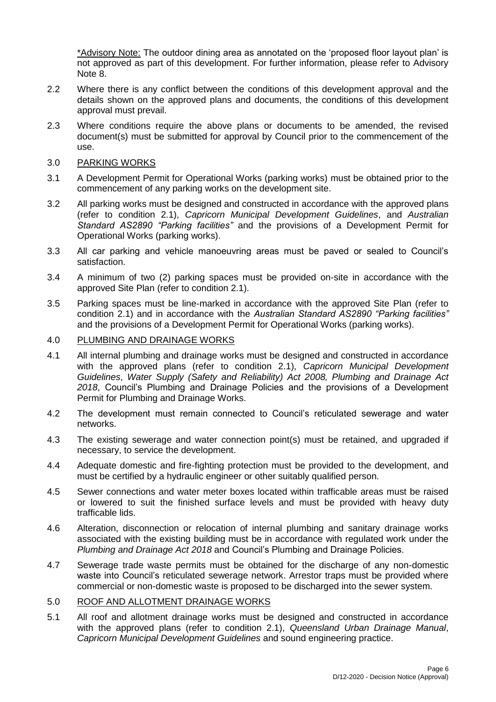\*Advisory Note: The outdoor dining area as annotated on the 'proposed floor layout plan' is not approved as part of this development. For further information, please refer to Advisory Note 8.

- 2.2 Where there is any conflict between the conditions of this development approval and the details shown on the approved plans and documents, the conditions of this development approval must prevail.
- 2.3 Where conditions require the above plans or documents to be amended, the revised document(s) must be submitted for approval by Council prior to the commencement of the use.
- 3.0 PARKING WORKS
- 3.1 A Development Permit for Operational Works (parking works) must be obtained prior to the commencement of any parking works on the development site.
- 3.2 All parking works must be designed and constructed in accordance with the approved plans (refer to condition 2.1), *Capricorn Municipal Development Guidelines*, and *Australian Standard AS2890 "Parking facilities"* and the provisions of a Development Permit for Operational Works (parking works).
- 3.3 All car parking and vehicle manoeuvring areas must be paved or sealed to Council's satisfaction.
- 3.4 A minimum of two (2) parking spaces must be provided on-site in accordance with the approved Site Plan (refer to condition 2.1).
- 3.5 Parking spaces must be line-marked in accordance with the approved Site Plan (refer to condition 2.1) and in accordance with the *Australian Standard AS2890 "Parking facilities"* and the provisions of a Development Permit for Operational Works (parking works).

#### 4.0 PLUMBING AND DRAINAGE WORKS

- 4.1 All internal plumbing and drainage works must be designed and constructed in accordance with the approved plans (refer to condition 2.1), *Capricorn Municipal Development Guidelines*, *Water Supply (Safety and Reliability) Act 2008, Plumbing and Drainage Act 2018*, Council's Plumbing and Drainage Policies and the provisions of a Development Permit for Plumbing and Drainage Works.
- 4.2 The development must remain connected to Council's reticulated sewerage and water networks.
- 4.3 The existing sewerage and water connection point(s) must be retained, and upgraded if necessary, to service the development.
- 4.4 Adequate domestic and fire-fighting protection must be provided to the development, and must be certified by a hydraulic engineer or other suitably qualified person.
- 4.5 Sewer connections and water meter boxes located within trafficable areas must be raised or lowered to suit the finished surface levels and must be provided with heavy duty trafficable lids.
- 4.6 Alteration, disconnection or relocation of internal plumbing and sanitary drainage works associated with the existing building must be in accordance with regulated work under the *Plumbing and Drainage Act 2018* and Council's Plumbing and Drainage Policies.
- 4.7 Sewerage trade waste permits must be obtained for the discharge of any non-domestic waste into Council's reticulated sewerage network. Arrestor traps must be provided where commercial or non-domestic waste is proposed to be discharged into the sewer system.

#### 5.0 ROOF AND ALLOTMENT DRAINAGE WORKS

5.1 All roof and allotment drainage works must be designed and constructed in accordance with the approved plans (refer to condition 2.1), *Queensland Urban Drainage Manual*, *Capricorn Municipal Development Guidelines* and sound engineering practice.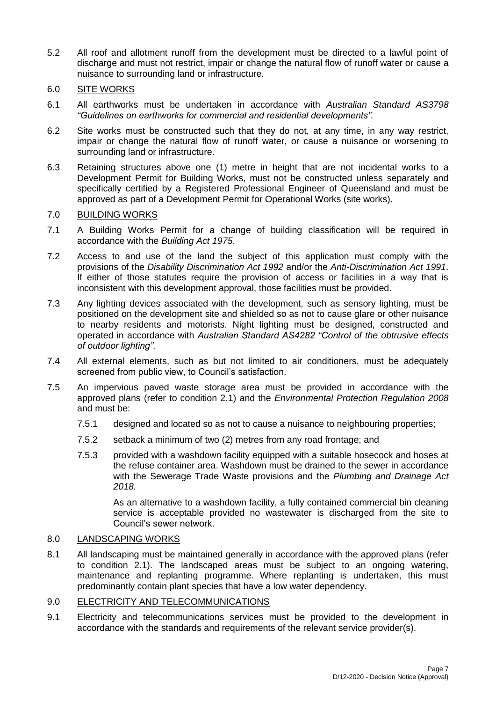- 5.2 All roof and allotment runoff from the development must be directed to a lawful point of discharge and must not restrict, impair or change the natural flow of runoff water or cause a nuisance to surrounding land or infrastructure.
- 6.0 SITE WORKS
- 6.1 All earthworks must be undertaken in accordance with *Australian Standard AS3798 "Guidelines on earthworks for commercial and residential developments".*
- 6.2 Site works must be constructed such that they do not, at any time, in any way restrict, impair or change the natural flow of runoff water, or cause a nuisance or worsening to surrounding land or infrastructure.
- 6.3 Retaining structures above one (1) metre in height that are not incidental works to a Development Permit for Building Works, must not be constructed unless separately and specifically certified by a Registered Professional Engineer of Queensland and must be approved as part of a Development Permit for Operational Works (site works).

### 7.0 BUILDING WORKS

- 7.1 A Building Works Permit for a change of building classification will be required in accordance with the *Building Act 1975*.
- 7.2 Access to and use of the land the subject of this application must comply with the provisions of the *Disability Discrimination Act 1992* and/or the *Anti-Discrimination Act 1991*. If either of those statutes require the provision of access or facilities in a way that is inconsistent with this development approval, those facilities must be provided.
- 7.3 Any lighting devices associated with the development, such as sensory lighting, must be positioned on the development site and shielded so as not to cause glare or other nuisance to nearby residents and motorists. Night lighting must be designed, constructed and operated in accordance with *Australian Standard AS4282 "Control of the obtrusive effects of outdoor lighting"*.
- 7.4 All external elements, such as but not limited to air conditioners, must be adequately screened from public view, to Council's satisfaction.
- 7.5 An impervious paved waste storage area must be provided in accordance with the approved plans (refer to condition 2.1) and the *Environmental Protection Regulation 2008* and must be:
	- 7.5.1 designed and located so as not to cause a nuisance to neighbouring properties;
	- 7.5.2 setback a minimum of two (2) metres from any road frontage; and
	- 7.5.3 provided with a washdown facility equipped with a suitable hosecock and hoses at the refuse container area. Washdown must be drained to the sewer in accordance with the Sewerage Trade Waste provisions and the *Plumbing and Drainage Act 2018.*

As an alternative to a washdown facility, a fully contained commercial bin cleaning service is acceptable provided no wastewater is discharged from the site to Council's sewer network.

#### 8.0 LANDSCAPING WORKS

8.1 All landscaping must be maintained generally in accordance with the approved plans (refer to condition 2.1). The landscaped areas must be subject to an ongoing watering, maintenance and replanting programme. Where replanting is undertaken, this must predominantly contain plant species that have a low water dependency.

#### 9.0 ELECTRICITY AND TELECOMMUNICATIONS

9.1 Electricity and telecommunications services must be provided to the development in accordance with the standards and requirements of the relevant service provider(s).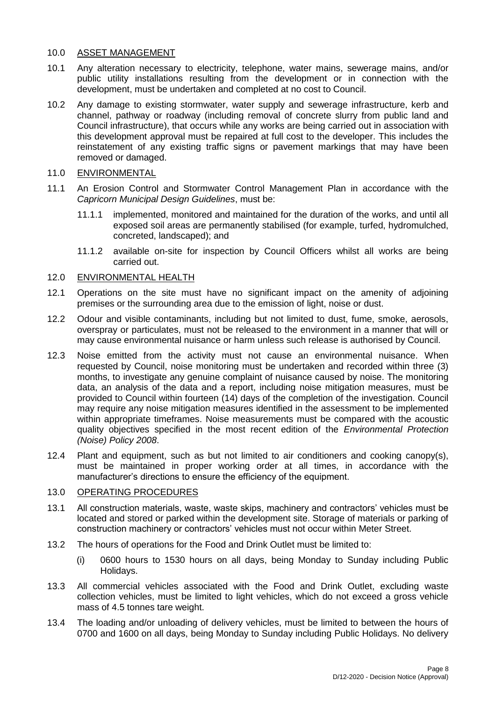## 10.0 ASSET MANAGEMENT

- 10.1 Any alteration necessary to electricity, telephone, water mains, sewerage mains, and/or public utility installations resulting from the development or in connection with the development, must be undertaken and completed at no cost to Council.
- 10.2 Any damage to existing stormwater, water supply and sewerage infrastructure, kerb and channel, pathway or roadway (including removal of concrete slurry from public land and Council infrastructure), that occurs while any works are being carried out in association with this development approval must be repaired at full cost to the developer. This includes the reinstatement of any existing traffic signs or pavement markings that may have been removed or damaged.
- 11.0 ENVIRONMENTAL
- 11.1 An Erosion Control and Stormwater Control Management Plan in accordance with the *Capricorn Municipal Design Guidelines*, must be:
	- 11.1.1 implemented, monitored and maintained for the duration of the works, and until all exposed soil areas are permanently stabilised (for example, turfed, hydromulched, concreted, landscaped); and
	- 11.1.2 available on-site for inspection by Council Officers whilst all works are being carried out.

#### 12.0 ENVIRONMENTAL HEALTH

- 12.1 Operations on the site must have no significant impact on the amenity of adjoining premises or the surrounding area due to the emission of light, noise or dust.
- 12.2 Odour and visible contaminants, including but not limited to dust, fume, smoke, aerosols, overspray or particulates, must not be released to the environment in a manner that will or may cause environmental nuisance or harm unless such release is authorised by Council.
- 12.3 Noise emitted from the activity must not cause an environmental nuisance. When requested by Council, noise monitoring must be undertaken and recorded within three (3) months, to investigate any genuine complaint of nuisance caused by noise. The monitoring data, an analysis of the data and a report, including noise mitigation measures, must be provided to Council within fourteen (14) days of the completion of the investigation. Council may require any noise mitigation measures identified in the assessment to be implemented within appropriate timeframes. Noise measurements must be compared with the acoustic quality objectives specified in the most recent edition of the *Environmental Protection (Noise) Policy 2008*.
- 12.4 Plant and equipment, such as but not limited to air conditioners and cooking canopy(s), must be maintained in proper working order at all times, in accordance with the manufacturer's directions to ensure the efficiency of the equipment.

#### 13.0 OPERATING PROCEDURES

- 13.1 All construction materials, waste, waste skips, machinery and contractors' vehicles must be located and stored or parked within the development site. Storage of materials or parking of construction machinery or contractors' vehicles must not occur within Meter Street.
- 13.2 The hours of operations for the Food and Drink Outlet must be limited to:
	- (i) 0600 hours to 1530 hours on all days, being Monday to Sunday including Public Holidays.
- 13.3 All commercial vehicles associated with the Food and Drink Outlet, excluding waste collection vehicles, must be limited to light vehicles, which do not exceed a gross vehicle mass of 4.5 tonnes tare weight.
- 13.4 The loading and/or unloading of delivery vehicles, must be limited to between the hours of 0700 and 1600 on all days, being Monday to Sunday including Public Holidays. No delivery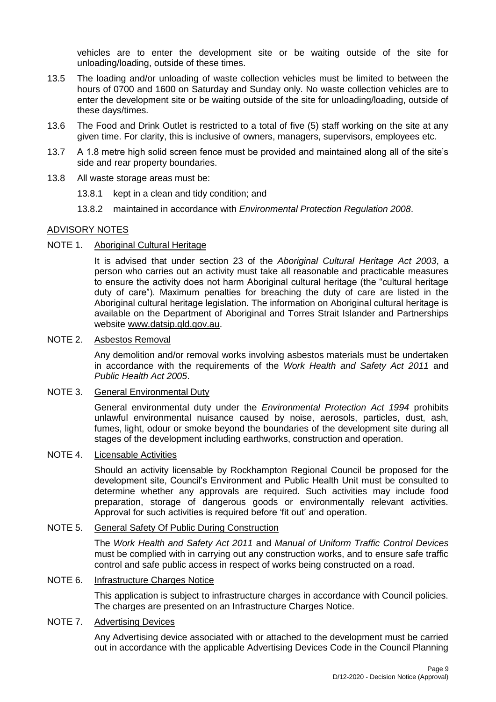vehicles are to enter the development site or be waiting outside of the site for unloading/loading, outside of these times.

- 13.5 The loading and/or unloading of waste collection vehicles must be limited to between the hours of 0700 and 1600 on Saturday and Sunday only. No waste collection vehicles are to enter the development site or be waiting outside of the site for unloading/loading, outside of these days/times.
- 13.6 The Food and Drink Outlet is restricted to a total of five (5) staff working on the site at any given time. For clarity, this is inclusive of owners, managers, supervisors, employees etc.
- 13.7 A 1.8 metre high solid screen fence must be provided and maintained along all of the site's side and rear property boundaries.
- 13.8 All waste storage areas must be:
	- 13.8.1 kept in a clean and tidy condition; and
	- 13.8.2 maintained in accordance with *Environmental Protection Regulation 2008*.

#### ADVISORY NOTES

#### NOTE 1. Aboriginal Cultural Heritage

It is advised that under section 23 of the *Aboriginal Cultural Heritage Act 2003*, a person who carries out an activity must take all reasonable and practicable measures to ensure the activity does not harm Aboriginal cultural heritage (the "cultural heritage duty of care"). Maximum penalties for breaching the duty of care are listed in the Aboriginal cultural heritage legislation. The information on Aboriginal cultural heritage is available on the Department of Aboriginal and Torres Strait Islander and Partnerships website [www.datsip.qld.gov.au.](http://www.datsip.qld.gov.au/)

#### NOTE 2. Asbestos Removal

Any demolition and/or removal works involving asbestos materials must be undertaken in accordance with the requirements of the *Work Health and Safety Act 2011* and *Public Health Act 2005*.

#### NOTE 3. General Environmental Duty

General environmental duty under the *Environmental Protection Act 1994* prohibits unlawful environmental nuisance caused by noise, aerosols, particles, dust, ash, fumes, light, odour or smoke beyond the boundaries of the development site during all stages of the development including earthworks, construction and operation.

#### NOTE 4. Licensable Activities

Should an activity licensable by Rockhampton Regional Council be proposed for the development site, Council's Environment and Public Health Unit must be consulted to determine whether any approvals are required. Such activities may include food preparation, storage of dangerous goods or environmentally relevant activities. Approval for such activities is required before 'fit out' and operation.

### NOTE 5. General Safety Of Public During Construction

The *Work Health and Safety Act 2011* and *Manual of Uniform Traffic Control Devices* must be complied with in carrying out any construction works, and to ensure safe traffic control and safe public access in respect of works being constructed on a road.

## NOTE 6. Infrastructure Charges Notice

This application is subject to infrastructure charges in accordance with Council policies. The charges are presented on an Infrastructure Charges Notice.

#### NOTE 7. Advertising Devices

Any Advertising device associated with or attached to the development must be carried out in accordance with the applicable Advertising Devices Code in the Council Planning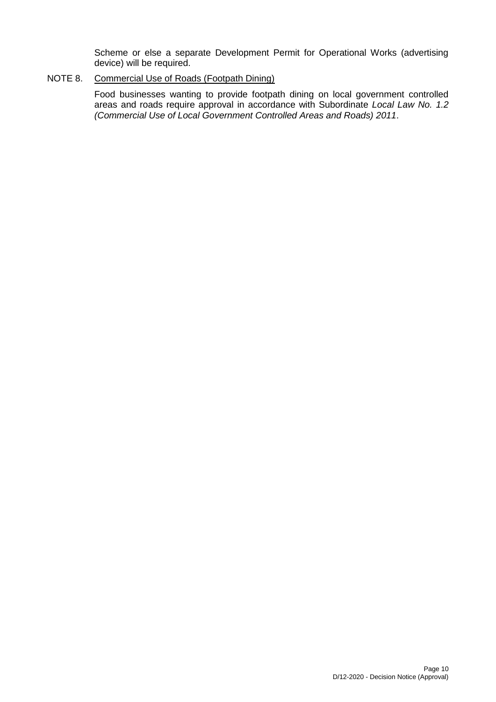Scheme or else a separate Development Permit for Operational Works (advertising device) will be required.

### NOTE 8. Commercial Use of Roads (Footpath Dining)

Food businesses wanting to provide footpath dining on local government controlled areas and roads require approval in accordance with Subordinate *Local Law No. 1.2 (Commercial Use of Local Government Controlled Areas and Roads) 2011*.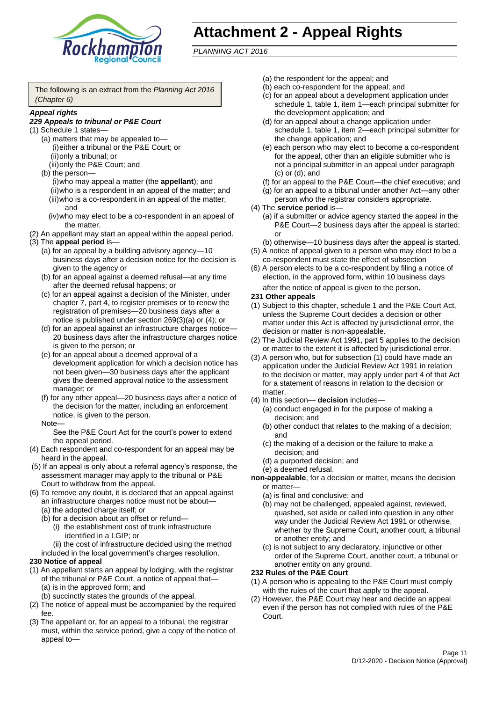

## **Attachment 2 - Appeal Rights**

*PLANNING ACT 2016*

The following is an extract from the *Planning Act 2016 (Chapter 6)*

#### *Appeal rights*

#### *229 Appeals to tribunal or P&E Court*

- (1) Schedule 1 states—
	- (a) matters that may be appealed to— (i)either a tribunal or the P&E Court; or (ii)only a tribunal; or (iii)only the P&E Court; and
	- (b) the person—

(i)who may appeal a matter (the **appellant**); and (ii)who is a respondent in an appeal of the matter; and (iii)who is a co-respondent in an appeal of the matter; and

- (iv)who may elect to be a co-respondent in an appeal of the matter.
- (2) An appellant may start an appeal within the appeal period.
- (3) The **appeal period** is—
	- (a) for an appeal by a building advisory agency—10 business days after a decision notice for the decision is given to the agency or
	- (b) for an appeal against a deemed refusal—at any time after the deemed refusal happens; or
	- (c) for an appeal against a decision of the Minister, under chapter 7, part 4, to register premises or to renew the registration of premises—20 business days after a notice is published under section 269(3)(a) or (4); or
	- (d) for an appeal against an infrastructure charges notice— 20 business days after the infrastructure charges notice is given to the person; or
	- (e) for an appeal about a deemed approval of a development application for which a decision notice has not been given—30 business days after the applicant gives the deemed approval notice to the assessment manager; or
	- (f) for any other appeal—20 business days after a notice of the decision for the matter, including an enforcement notice, is given to the person.

#### Note—

See the P&E Court Act for the court's power to extend the appeal period.

- (4) Each respondent and co-respondent for an appeal may be heard in the appeal.
- (5) If an appeal is only about a referral agency's response, the assessment manager may apply to the tribunal or P&E Court to withdraw from the appeal.
- (6) To remove any doubt, it is declared that an appeal against an infrastructure charges notice must not be about—
	- (a) the adopted charge itself; or
	- (b) for a decision about an offset or refund—
		- (i) the establishment cost of trunk infrastructure identified in a LGIP; or

(ii) the cost of infrastructure decided using the method

#### included in the local government's charges resolution. **230 Notice of appeal**

- (1) An appellant starts an appeal by lodging, with the registrar of the tribunal or P&E Court, a notice of appeal that—
	- (a) is in the approved form; and
	- (b) succinctly states the grounds of the appeal.
- (2) The notice of appeal must be accompanied by the required fee.
- (3) The appellant or, for an appeal to a tribunal, the registrar must, within the service period, give a copy of the notice of appeal to—
- (a) the respondent for the appeal; and
- (b) each co-respondent for the appeal; and
- (c) for an appeal about a development application under schedule 1, table 1, item 1—each principal submitter for the development application; and
- (d) for an appeal about a change application under schedule 1, table 1, item 2—each principal submitter for the change application; and
- (e) each person who may elect to become a co-respondent for the appeal, other than an eligible submitter who is not a principal submitter in an appeal under paragraph (c) or (d); and
- (f) for an appeal to the P&E Court—the chief executive; and
- (g) for an appeal to a tribunal under another Act—any other person who the registrar considers appropriate.
- (4) The **service period** is—
	- (a) if a submitter or advice agency started the appeal in the P&E Court—2 business days after the appeal is started; or
	- (b) otherwise—10 business days after the appeal is started.
- (5) A notice of appeal given to a person who may elect to be a co-respondent must state the effect of subsection
- (6) A person elects to be a co-respondent by filing a notice of election, in the approved form, within 10 business days after the notice of appeal is given to the person*.*
- **231 Other appeals**
- (1) Subject to this chapter, schedule 1 and the P&E Court Act, unless the Supreme Court decides a decision or other matter under this Act is affected by jurisdictional error, the decision or matter is non-appealable.
- (2) The Judicial Review Act 1991, part 5 applies to the decision or matter to the extent it is affected by jurisdictional error.
- (3) A person who, but for subsection (1) could have made an application under the Judicial Review Act 1991 in relation to the decision or matter, may apply under part 4 of that Act for a statement of reasons in relation to the decision or matter.
- (4) In this section— **decision** includes—
	- (a) conduct engaged in for the purpose of making a decision; and
	- (b) other conduct that relates to the making of a decision; and
	- (c) the making of a decision or the failure to make a decision; and
	- (d) a purported decision; and
	- (e) a deemed refusal.

**non-appealable**, for a decision or matter, means the decision or matter—

- (a) is final and conclusive; and
- (b) may not be challenged, appealed against, reviewed, quashed, set aside or called into question in any other way under the Judicial Review Act 1991 or otherwise, whether by the Supreme Court, another court, a tribunal or another entity; and
- (c) is not subject to any declaratory, injunctive or other order of the Supreme Court, another court, a tribunal or another entity on any ground.

#### **232 Rules of the P&E Court**

- (1) A person who is appealing to the P&E Court must comply with the rules of the court that apply to the appeal.
- (2) However, the P&E Court may hear and decide an appeal even if the person has not complied with rules of the P&E Court.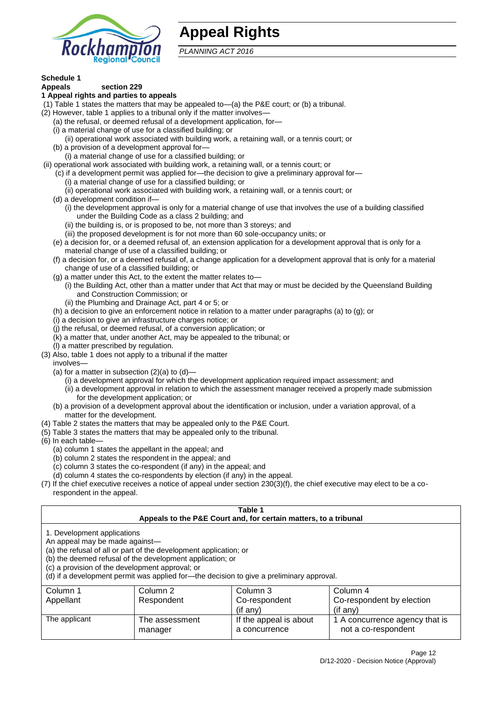

## **Appeal Rights**

*PLANNING ACT 2016*

## **Schedule 1**

#### **Appeals section 229 1 Appeal rights and parties to appeals**

- (1) Table 1 states the matters that may be appealed to—(a) the P&E court; or (b) a tribunal.
- (2) However, table 1 applies to a tribunal only if the matter involves—
	- (a) the refusal, or deemed refusal of a development application, for—
	- (i) a material change of use for a classified building; or
	- (ii) operational work associated with building work, a retaining wall, or a tennis court; or
	- (b) a provision of a development approval for—
	- (i) a material change of use for a classified building; or
- (ii) operational work associated with building work, a retaining wall, or a tennis court; or
	- (c) if a development permit was applied for—the decision to give a preliminary approval for—
		- (i) a material change of use for a classified building; or
	- (ii) operational work associated with building work, a retaining wall, or a tennis court; or
	- (d) a development condition if—
		- (i) the development approval is only for a material change of use that involves the use of a building classified under the Building Code as a class 2 building; and
		- (ii) the building is, or is proposed to be, not more than 3 storeys; and
		- (iii) the proposed development is for not more than 60 sole-occupancy units; or
	- (e) a decision for, or a deemed refusal of, an extension application for a development approval that is only for a material change of use of a classified building; or
	- (f) a decision for, or a deemed refusal of, a change application for a development approval that is only for a material change of use of a classified building; or
	- (g) a matter under this Act, to the extent the matter relates to—
		- (i) the Building Act, other than a matter under that Act that may or must be decided by the Queensland Building and Construction Commission; or
		- (ii) the Plumbing and Drainage Act, part 4 or 5; or
	- (h) a decision to give an enforcement notice in relation to a matter under paragraphs (a) to (g); or
	- (i) a decision to give an infrastructure charges notice; or
	- (j) the refusal, or deemed refusal, of a conversion application; or
	- (k) a matter that, under another Act, may be appealed to the tribunal; or
	- (l) a matter prescribed by regulation.
- (3) Also, table 1 does not apply to a tribunal if the matter

involves—

- (a) for a matter in subsection  $(2)(a)$  to  $(d)$ 
	- (i) a development approval for which the development application required impact assessment; and
	- (ii) a development approval in relation to which the assessment manager received a properly made submission for the development application; or
- (b) a provision of a development approval about the identification or inclusion, under a variation approval, of a matter for the development.
- (4) Table 2 states the matters that may be appealed only to the P&E Court.
- (5) Table 3 states the matters that may be appealed only to the tribunal.
- (6) In each table—
	- (a) column 1 states the appellant in the appeal; and
	- (b) column 2 states the respondent in the appeal; and
	- (c) column 3 states the co-respondent (if any) in the appeal; and
	- (d) column 4 states the co-respondents by election (if any) in the appeal.
- (7) If the chief executive receives a notice of appeal under section 230(3)(f), the chief executive may elect to be a corespondent in the appeal.

| Table 1<br>Appeals to the P&E Court and, for certain matters, to a tribunal                                                                                                                                                                                                                                                                    |                                                 |                        |                                |  |  |  |  |
|------------------------------------------------------------------------------------------------------------------------------------------------------------------------------------------------------------------------------------------------------------------------------------------------------------------------------------------------|-------------------------------------------------|------------------------|--------------------------------|--|--|--|--|
| 1. Development applications<br>An appeal may be made against-<br>(a) the refusal of all or part of the development application; or<br>(b) the deemed refusal of the development application; or<br>(c) a provision of the development approval; or<br>(d) if a development permit was applied for-the decision to give a preliminary approval. |                                                 |                        |                                |  |  |  |  |
| Column 1                                                                                                                                                                                                                                                                                                                                       | Column 2                                        | Column 3               | Column 4                       |  |  |  |  |
| Appellant<br>Co-respondent<br>Co-respondent by election<br>Respondent                                                                                                                                                                                                                                                                          |                                                 |                        |                                |  |  |  |  |
| (if any)<br>$($ if any $)$                                                                                                                                                                                                                                                                                                                     |                                                 |                        |                                |  |  |  |  |
| The applicant                                                                                                                                                                                                                                                                                                                                  | The assessment                                  | If the appeal is about | 1 A concurrence agency that is |  |  |  |  |
|                                                                                                                                                                                                                                                                                                                                                | not a co-respondent<br>a concurrence<br>manager |                        |                                |  |  |  |  |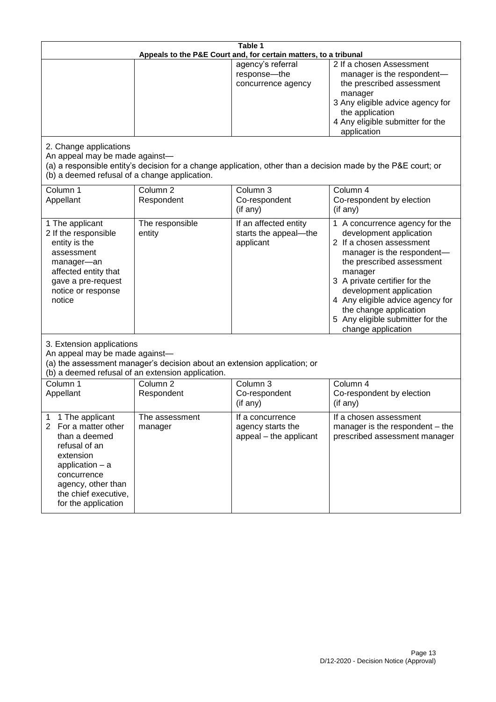| Table 1<br>Appeals to the P&E Court and, for certain matters, to a tribunal                                                                                                                                          |                                   |                                                                 |                                                                                                                                                                                                                                                                                                                                                 |  |
|----------------------------------------------------------------------------------------------------------------------------------------------------------------------------------------------------------------------|-----------------------------------|-----------------------------------------------------------------|-------------------------------------------------------------------------------------------------------------------------------------------------------------------------------------------------------------------------------------------------------------------------------------------------------------------------------------------------|--|
|                                                                                                                                                                                                                      |                                   | agency's referral<br>response-the<br>concurrence agency         | 2 If a chosen Assessment<br>manager is the respondent-<br>the prescribed assessment<br>manager<br>3 Any eligible advice agency for<br>the application<br>4 Any eligible submitter for the<br>application                                                                                                                                        |  |
| 2. Change applications<br>An appeal may be made against-<br>(b) a deemed refusal of a change application.                                                                                                            |                                   |                                                                 | (a) a responsible entity's decision for a change application, other than a decision made by the P&E court; or                                                                                                                                                                                                                                   |  |
| Column 1<br>Appellant                                                                                                                                                                                                | Column <sub>2</sub><br>Respondent | Column 3<br>Co-respondent<br>(if any)                           | Column 4<br>Co-respondent by election<br>(if any)                                                                                                                                                                                                                                                                                               |  |
| 1 The applicant<br>2 If the responsible<br>entity is the<br>assessment<br>manager-an<br>affected entity that<br>gave a pre-request<br>notice or response<br>notice                                                   | The responsible<br>entity         | If an affected entity<br>starts the appeal-the<br>applicant     | 1 A concurrence agency for the<br>development application<br>2 If a chosen assessment<br>manager is the respondent-<br>the prescribed assessment<br>manager<br>3 A private certifier for the<br>development application<br>4 Any eligible advice agency for<br>the change application<br>5 Any eligible submitter for the<br>change application |  |
| 3. Extension applications<br>An appeal may be made against-<br>(a) the assessment manager's decision about an extension application; or<br>(b) a deemed refusal of an extension application.                         |                                   |                                                                 |                                                                                                                                                                                                                                                                                                                                                 |  |
| Column 1<br>Appellant                                                                                                                                                                                                | Column <sub>2</sub><br>Respondent | Column 3<br>Co-respondent<br>(if any)                           | Column 4<br>Co-respondent by election<br>(if any)                                                                                                                                                                                                                                                                                               |  |
| 1 The applicant<br>1<br>$\overline{2}$<br>For a matter other<br>than a deemed<br>refusal of an<br>extension<br>application $-$ a<br>concurrence<br>agency, other than<br>the chief executive,<br>for the application | The assessment<br>manager         | If a concurrence<br>agency starts the<br>appeal - the applicant | If a chosen assessment<br>manager is the respondent – the<br>prescribed assessment manager                                                                                                                                                                                                                                                      |  |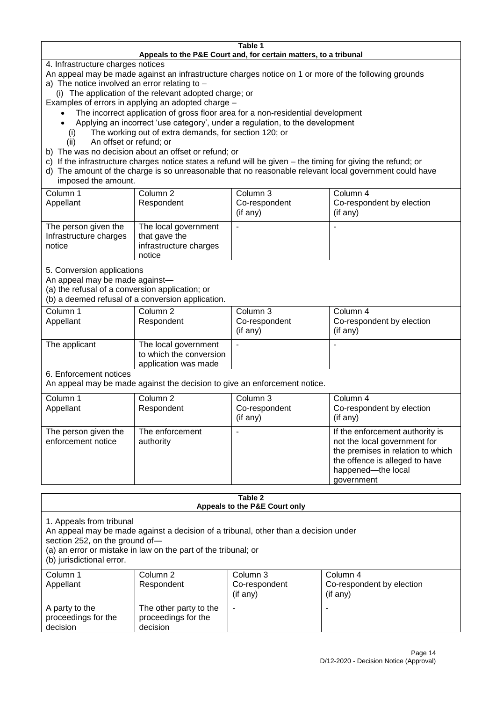#### **Table 1 Appeals to the P&E Court and, for certain matters, to a tribunal**

4. Infrastructure charges notices

- An appeal may be made against an infrastructure charges notice on 1 or more of the following grounds
- a) The notice involved an error relating to
	- (i) The application of the relevant adopted charge; or
- Examples of errors in applying an adopted charge
	- The incorrect application of gross floor area for a non-residential development
	- Applying an incorrect 'use category', under a regulation, to the development
	- (i) The working out of extra demands, for section 120; or
	- (ii) An offset or refund; or
- b) The was no decision about an offset or refund; or
- c) If the infrastructure charges notice states a refund will be given the timing for giving the refund; or
- d) The amount of the charge is so unreasonable that no reasonable relevant local government could have

## imposed the amount.

| Column 1<br>Appellant                                    | Column 2<br>Respondent                                                    | Column 3<br>Co-respondent<br>(if any) | Column 4<br>Co-respondent by election<br>$($ if any $)$ |
|----------------------------------------------------------|---------------------------------------------------------------------------|---------------------------------------|---------------------------------------------------------|
| The person given the<br>Infrastructure charges<br>notice | The local government<br>that gave the<br>infrastructure charges<br>notice | -                                     |                                                         |

5. Conversion applications

An appeal may be made against—

(a) the refusal of a conversion application; or

(b) a deemed refusal of a conversion application.

| Column 1      | Column 2                | Column 3       | Column 4                  |
|---------------|-------------------------|----------------|---------------------------|
| Appellant     | Respondent              | Co-respondent  | Co-respondent by election |
|               |                         | $($ if any $)$ | $($ if any $)$            |
|               |                         |                |                           |
| The applicant | The local government    | ۰              | $\overline{\phantom{a}}$  |
|               | to which the conversion |                |                           |
|               | application was made    |                |                           |

6. Enforcement notices

An appeal may be made against the decision to give an enforcement notice.

| Column 1                                   | Column 2                     | Column 3      | Column 4                                                                                                                                                                   |
|--------------------------------------------|------------------------------|---------------|----------------------------------------------------------------------------------------------------------------------------------------------------------------------------|
| Appellant                                  | Respondent                   | Co-respondent | Co-respondent by election                                                                                                                                                  |
|                                            |                              | (if any)      | (if any)                                                                                                                                                                   |
| The person given the<br>enforcement notice | The enforcement<br>authority |               | If the enforcement authority is<br>not the local government for<br>the premises in relation to which<br>the offence is alleged to have<br>happened-the local<br>government |

#### **Table 2 Appeals to the P&E Court only**

1. Appeals from tribunal

An appeal may be made against a decision of a tribunal, other than a decision under

section 252, on the ground of—

(a) an error or mistake in law on the part of the tribunal; or

(b) jurisdictional error.

| Column 1<br>Appellant                             | Column 2<br>Respondent                                    | Column 3<br>Co-respondent<br>$($ if any $)$ | Column 4<br>Co-respondent by election<br>$($ if any $)$ |
|---------------------------------------------------|-----------------------------------------------------------|---------------------------------------------|---------------------------------------------------------|
| A party to the<br>proceedings for the<br>decision | The other party to the<br>proceedings for the<br>decision | ۰                                           |                                                         |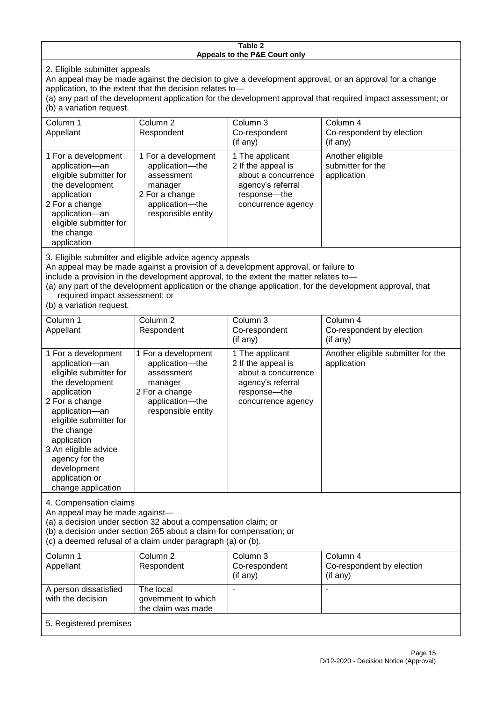#### **Table 2 Appeals to the P&E Court only**

2. Eligible submitter appeals

An appeal may be made against the decision to give a development approval, or an approval for a change application, to the extent that the decision relates to—

(a) any part of the development application for the development approval that required impact assessment; or (b) a variation request.

| Column 1                                                                                                                                                                                                                                                                                                                                                                                                           | Column 2                                                                                                                   | Column 3                                                                                                                | Column 4                                             |
|--------------------------------------------------------------------------------------------------------------------------------------------------------------------------------------------------------------------------------------------------------------------------------------------------------------------------------------------------------------------------------------------------------------------|----------------------------------------------------------------------------------------------------------------------------|-------------------------------------------------------------------------------------------------------------------------|------------------------------------------------------|
| Appellant                                                                                                                                                                                                                                                                                                                                                                                                          | Respondent                                                                                                                 | Co-respondent                                                                                                           | Co-respondent by election                            |
|                                                                                                                                                                                                                                                                                                                                                                                                                    |                                                                                                                            | (if any)                                                                                                                | (if any)                                             |
| 1 For a development<br>application-an<br>eligible submitter for<br>the development<br>application<br>2 For a change<br>application-an<br>eligible submitter for<br>the change<br>application                                                                                                                                                                                                                       | 1 For a development<br>application-the<br>assessment<br>manager<br>2 For a change<br>application-the<br>responsible entity | 1 The applicant<br>2 If the appeal is<br>about a concurrence<br>agency's referral<br>response-the<br>concurrence agency | Another eligible<br>submitter for the<br>application |
| 3. Eligible submitter and eligible advice agency appeals<br>An appeal may be made against a provision of a development approval, or failure to<br>include a provision in the development approval, to the extent the matter relates to-<br>(a) any part of the development application or the change application, for the development approval, that<br>required impact assessment; or<br>(b) a variation request. |                                                                                                                            |                                                                                                                         |                                                      |
| Column 1                                                                                                                                                                                                                                                                                                                                                                                                           | Column <sub>2</sub>                                                                                                        | Column 3                                                                                                                | Column 4                                             |
| Appellant                                                                                                                                                                                                                                                                                                                                                                                                          | Respondent                                                                                                                 | Co-respondent<br>(if any)                                                                                               | Co-respondent by election<br>(if any)                |
| 1 For a development                                                                                                                                                                                                                                                                                                                                                                                                | 1 For a development                                                                                                        | 1 The applicant                                                                                                         | Another eligible submitter for the                   |
| application-an                                                                                                                                                                                                                                                                                                                                                                                                     | application-the                                                                                                            | 2 If the appeal is                                                                                                      | application                                          |
| eligible submitter for                                                                                                                                                                                                                                                                                                                                                                                             | assessment                                                                                                                 | about a concurrence                                                                                                     |                                                      |

agency's referral response—the concurrence agency

4. Compensation claims

the development application 2 For a change application—an eligible submitter for

the change application 3 An eligible advice agency for the development application or change application

An appeal may be made against—

(a) a decision under section 32 about a compensation claim; or

manager 2 For a change

> application—the responsible entity

(b) a decision under section 265 about a claim for compensation; or

(c) a deemed refusal of a claim under paragraph (a) or (b).

| Column 1<br>Appellant                      | Column 2<br>Respondent                                 | Column 3<br>Co-respondent<br>(if any) | Column 4<br>Co-respondent by election<br>(if any) |
|--------------------------------------------|--------------------------------------------------------|---------------------------------------|---------------------------------------------------|
| A person dissatisfied<br>with the decision | The local<br>government to which<br>the claim was made |                                       |                                                   |
| 5. Registered premises                     |                                                        |                                       |                                                   |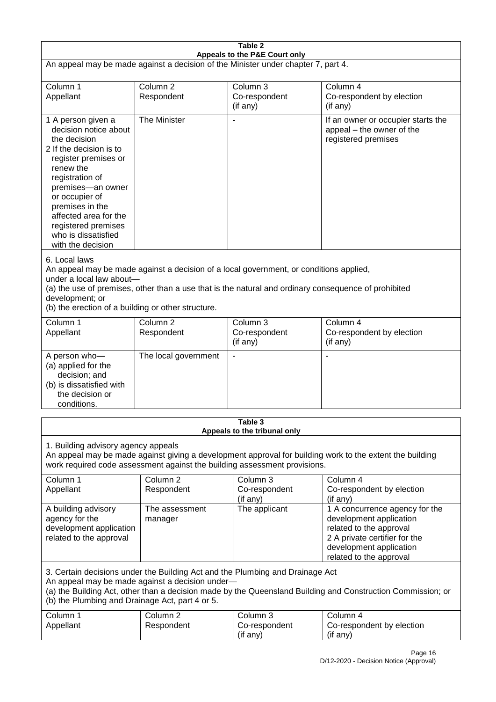| Table 2                                                                                                                                                                                                                                                                                                              |                                   |                                         |                                                                                                                                                                             |  |
|----------------------------------------------------------------------------------------------------------------------------------------------------------------------------------------------------------------------------------------------------------------------------------------------------------------------|-----------------------------------|-----------------------------------------|-----------------------------------------------------------------------------------------------------------------------------------------------------------------------------|--|
| Appeals to the P&E Court only<br>An appeal may be made against a decision of the Minister under chapter 7, part 4.                                                                                                                                                                                                   |                                   |                                         |                                                                                                                                                                             |  |
| Column 1<br>Appellant                                                                                                                                                                                                                                                                                                | Column <sub>2</sub><br>Respondent | Column 3<br>Co-respondent<br>(if any)   | Column 4<br>Co-respondent by election<br>(if any)                                                                                                                           |  |
| 1 A person given a<br>decision notice about<br>the decision<br>2 If the decision is to<br>register premises or<br>renew the<br>registration of<br>premises-an owner<br>or occupier of<br>premises in the<br>affected area for the<br>registered premises<br>who is dissatisfied<br>with the decision                 | The Minister                      | $\blacksquare$                          | If an owner or occupier starts the<br>appeal - the owner of the<br>registered premises                                                                                      |  |
| 6. Local laws<br>An appeal may be made against a decision of a local government, or conditions applied,<br>under a local law about-<br>(a) the use of premises, other than a use that is the natural and ordinary consequence of prohibited<br>development; or<br>(b) the erection of a building or other structure. |                                   |                                         |                                                                                                                                                                             |  |
| Column 1<br>Appellant                                                                                                                                                                                                                                                                                                | Column <sub>2</sub><br>Respondent | Column 3<br>Co-respondent<br>(if any)   | Column 4<br>Co-respondent by election<br>(if any)                                                                                                                           |  |
| A person who-<br>(a) applied for the<br>decision; and<br>(b) is dissatisfied with<br>the decision or<br>conditions.                                                                                                                                                                                                  | The local government              | $\overline{\phantom{a}}$                |                                                                                                                                                                             |  |
|                                                                                                                                                                                                                                                                                                                      |                                   | Table 3<br>Appeals to the tribunal only |                                                                                                                                                                             |  |
| 1. Building advisory agency appeals<br>An appeal may be made against giving a development approval for building work to the extent the building<br>work required code assessment against the building assessment provisions.                                                                                         |                                   |                                         |                                                                                                                                                                             |  |
| Column 1<br>Appellant                                                                                                                                                                                                                                                                                                | Column <sub>2</sub><br>Respondent | Column 3<br>Co-respondent<br>(if any)   | Column 4<br>Co-respondent by election<br>(if any)                                                                                                                           |  |
| A building advisory<br>agency for the<br>development application<br>related to the approval                                                                                                                                                                                                                          | The assessment<br>manager         | The applicant                           | 1 A concurrence agency for the<br>development application<br>related to the approval<br>2 A private certifier for the<br>development application<br>related to the approval |  |
| 3. Certain decisions under the Building Act and the Plumbing and Drainage Act<br>An appeal may be made against a decision under-<br>(a) the Building Act, other than a decision made by the Queensland Building and Construction Commission; or<br>(b) the Plumbing and Drainage Act, part 4 or 5.                   |                                   |                                         |                                                                                                                                                                             |  |
| Column 1<br>Appellant                                                                                                                                                                                                                                                                                                | Column <sub>2</sub><br>Respondent | Column 3<br>Co-respondent<br>(if any)   | Column 4<br>Co-respondent by election<br>(if any)                                                                                                                           |  |